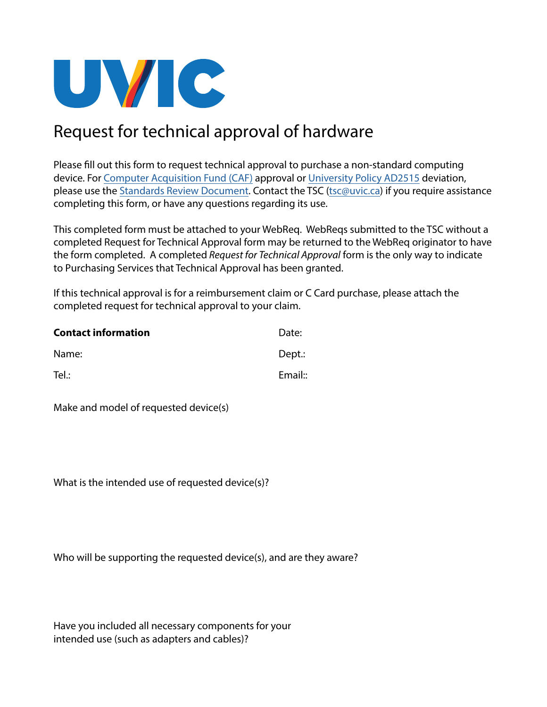

## Request for technical approval of hardware

Please fill out this form to request technical approval to purchase a non-standard computing device. For [Computer Acquisition Fund \(CAF\)](https://www.uvic.ca/vpacademic/resources/howto/computer-fund/index.php) approval or [University Policy AD2515](https://www.uvic.ca/universitysecretary/assets/docs/policies/AD2515_6040_.pdf) deviation, please use the [Standards Review Document](https://www.uvic.ca/systems/assets/docs/pdfs/computerssoftware/technologysolutions/Standards_Review_Document_v2.pdf). Contact the TSC ([tsc@uvic.ca\)](mailto:tsc@uvic.ca) if you require assistance completing this form, or have any questions regarding its use.

This completed form must be attached to your WebReq. WebReqs submitted to the TSC without a completed Request for Technical Approval form may be returned to the WebReq originator to have the form completed. A completed *Request for Technical Approval* form is the only way to indicate to Purchasing Services that Technical Approval has been granted.

If this technical approval is for a reimbursement claim or C Card purchase, please attach the completed request for technical approval to your claim.

| <b>Contact information</b> | Date:   |
|----------------------------|---------|
| Name:                      | Dept.:  |
| Tel.:                      | Email:: |

Make and model of requested device(s)

What is the intended use of requested device(s)?

Who will be supporting the requested device(s), and are they aware?

Have you included all necessary components for your intended use (such as adapters and cables)?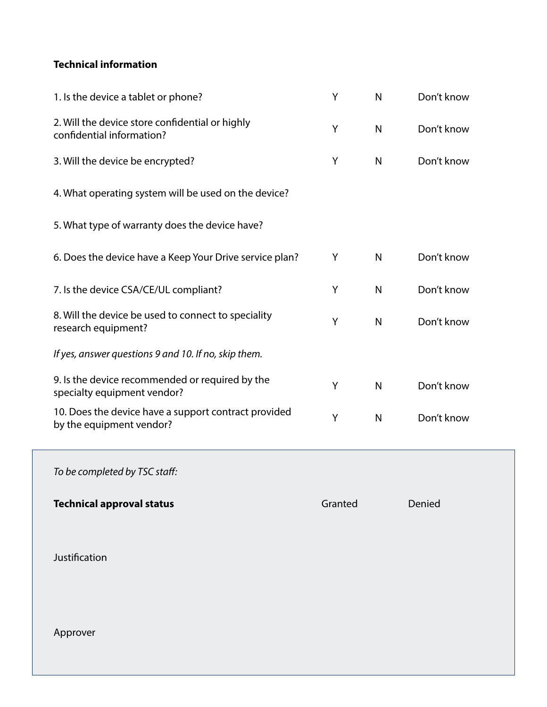## **Technical information**

| 1. Is the device a tablet or phone?                                              | Y | $\mathsf{N}$ | Don't know |
|----------------------------------------------------------------------------------|---|--------------|------------|
| 2. Will the device store confidential or highly<br>confidential information?     | Y | N            | Don't know |
| 3. Will the device be encrypted?                                                 | Y | $\mathsf{N}$ | Don't know |
| 4. What operating system will be used on the device?                             |   |              |            |
| 5. What type of warranty does the device have?                                   |   |              |            |
| 6. Does the device have a Keep Your Drive service plan?                          | Y | $\mathsf{N}$ | Don't know |
| 7. Is the device CSA/CE/UL compliant?                                            | Y | $\mathsf{N}$ | Don't know |
| 8. Will the device be used to connect to speciality<br>research equipment?       | Y | $\mathsf{N}$ | Don't know |
| If yes, answer questions 9 and 10. If no, skip them.                             |   |              |            |
| 9. Is the device recommended or required by the<br>specialty equipment vendor?   | Y | $\mathsf{N}$ | Don't know |
| 10. Does the device have a support contract provided<br>by the equipment vendor? | Y | $\mathsf{N}$ | Don't know |

*To be completed by TSC staff:*

**Technical approval status**

Granted Denied

Justification

Approver